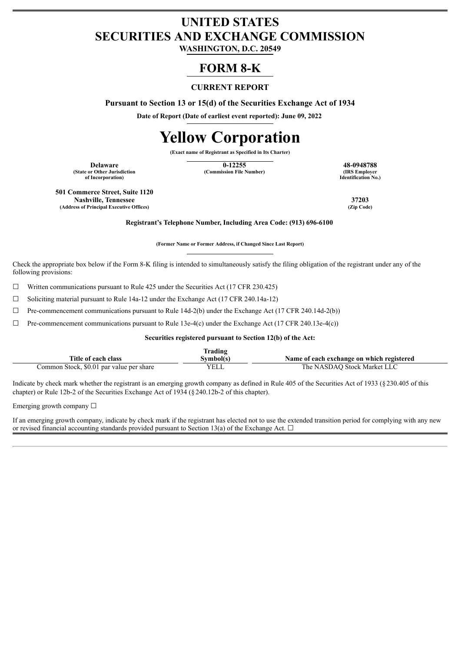# **UNITED STATES SECURITIES AND EXCHANGE COMMISSION**

**WASHINGTON, D.C. 20549**

# **FORM 8-K**

# **CURRENT REPORT**

**Pursuant to Section 13 or 15(d) of the Securities Exchange Act of 1934**

**Date of Report (Date of earliest event reported): June 09, 2022**

# **Yellow Corporation**

**(Exact name of Registrant as Specified in Its Charter)**

**(State or Other Jurisdiction of Incorporation)**

**Delaware 12255 48-0948788 48-0948788 12255 48-0948788 48-0948788 12255 48-0948788 (Commission File Number)** 

**Identification No.)**

**501 Commerce Street, Suite 1120 Nashville, Tennessee 37203 (Address of Principal Executive Offices) (Zip Code)**

**Registrant's Telephone Number, Including Area Code: (913) 696-6100**

**(Former Name or Former Address, if Changed Since Last Report)**

Check the appropriate box below if the Form 8-K filing is intended to simultaneously satisfy the filing obligation of the registrant under any of the following provisions:

 $\Box$  Written communications pursuant to Rule 425 under the Securities Act (17 CFR 230.425)

☐ Soliciting material pursuant to Rule 14a-12 under the Exchange Act (17 CFR 240.14a-12)

 $\Box$  Pre-commencement communications pursuant to Rule 14d-2(b) under the Exchange Act (17 CFR 240.14d-2(b))

 $\Box$  Pre-commencement communications pursuant to Rule 13e-4(c) under the Exchange Act (17 CFR 240.13e-4(c))

#### **Securities registered pursuant to Section 12(b) of the Act:**

| rading.                                  |             |                                           |  |  |  |  |
|------------------------------------------|-------------|-------------------------------------------|--|--|--|--|
| Title of each class                      | Svmbol(s`   | Name of each exchange on which registered |  |  |  |  |
| Common Stock, \$0.01 par value per share | <b>VELL</b> | The NASDAO Stock Market LLC               |  |  |  |  |

Indicate by check mark whether the registrant is an emerging growth company as defined in Rule 405 of the Securities Act of 1933 (§230.405 of this chapter) or Rule 12b-2 of the Securities Exchange Act of 1934 (§240.12b-2 of this chapter).

Emerging growth company  $\Box$ 

If an emerging growth company, indicate by check mark if the registrant has elected not to use the extended transition period for complying with any new or revised financial accounting standards provided pursuant to Section 13(a) of the Exchange Act.  $\Box$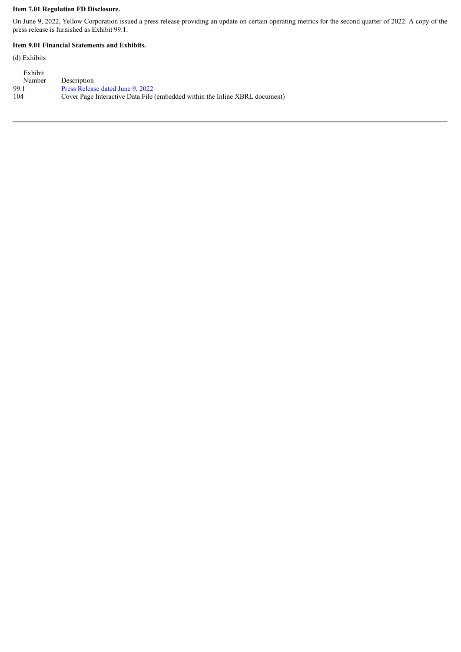## **Item 7.01 Regulation FD Disclosure.**

On June 9, 2022, Yellow Corporation issued a press release providing an update on certain operating metrics for the second quarter of 2022. A copy of the press release is furnished as Exhibit 99.1.

#### **Item 9.01 Financial Statements and Exhibits.**

(d) Exhibits

| Exhibit |                                                                             |
|---------|-----------------------------------------------------------------------------|
| Number  | Description                                                                 |
| 99.1    | Press Release dated June 9, 2022                                            |
| 104     | Cover Page Interactive Data File (embedded within the Inline XBRL document) |
|         |                                                                             |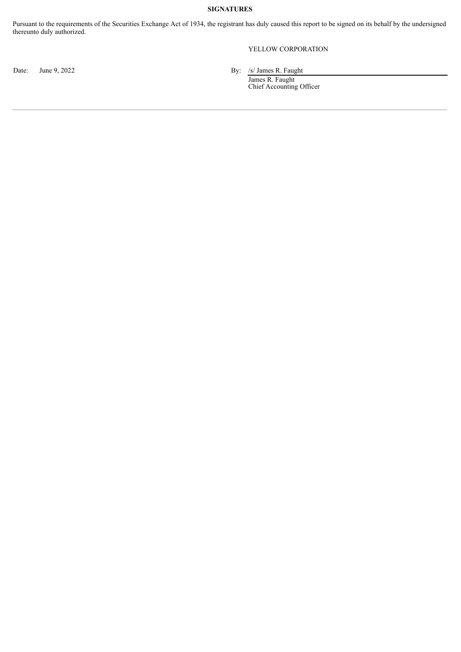## **SIGNATURES**

Pursuant to the requirements of the Securities Exchange Act of 1934, the registrant has duly caused this report to be signed on its behalf by the undersigned thereunto duly authorized.

# YELLOW CORPORATION

Date: June 9, 2022 By: /s/ James R. Faught

James R. Faught Chief Accounting Officer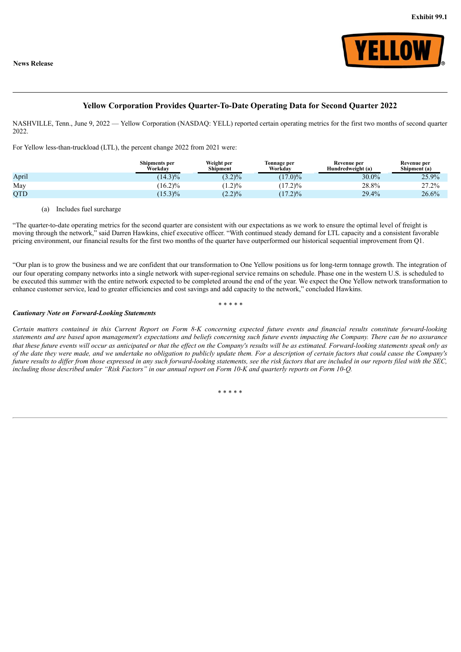

## **Yellow Corporation Provides Quarter-To-Date Operating Data for Second Quarter 2022**

<span id="page-3-0"></span>NASHVILLE, Tenn., June 9, 2022 — Yellow Corporation (NASDAQ: YELL) reported certain operating metrics for the first two months of second quarter 2022.

For Yellow less-than-truckload (LTL), the percent change 2022 from 2021 were:

|       | <b>Shipments per</b><br>Workdav | Weight per<br>Shipment | Tonnage per<br>Workday   | Revenue per<br>Hundredweight (a) | Revenue per<br>Shipment (a) |
|-------|---------------------------------|------------------------|--------------------------|----------------------------------|-----------------------------|
| April | $(14.3)\%$                      | $3.2\frac{9}{6}$       | $(17.0)\%$               | 30.0%                            | 25.9%                       |
| May   | $(16.2)\%$                      | $1.2\%$                | $(17.2)\%$               | 28.8%                            | 27.2%                       |
| OTD   | $(15.3)\%$                      | $(2.2)\%$              | $7.2\frac{9}{6}$<br>(17) | 29.4%                            | 26.6%                       |

#### (a) Includes fuel surcharge

"The quarter-to-date operating metrics for the second quarter are consistent with our expectations as we work to ensure the optimal level of freight is moving through the network,<sup>"</sup> said Darren Hawkins, chief executive officer. "With continued steady demand for LTL capacity and a consistent favorable pricing environment, our financial results for the first two months of the quarter have outperformed our historical sequential improvement from Q1.

"Our plan is to grow the business and we are confident that our transformation to One Yellow positions us for long-term tonnage growth. The integration of our four operating company networks into a single network with super-regional service remains on schedule. Phase one in the western U.S. is scheduled to be executed this summer with the entire network expected to be completed around the end of the year. We expect the One Yellow network transformation to enhance customer service, lead to greater efficiencies and cost savings and add capacity to the network," concluded Hawkins.

#### *\* \* \* \* \**

#### *Cautionary Note on Forward-Looking Statements*

Certain matters contained in this Current Report on Form 8-K concerning expected future events and financial results constitute forward-looking statements and are based upon management's expectations and beliefs concerning such future events impacting the Company. There can be no assurance that these future events will occur as anticipated or that the effect on the Company's results will be as estimated. Forward-looking statements speak only as of the date they were made, and we undertake no obligation to publicly update them. For a description of certain factors that could cause the Company's future results to differ from those expressed in any such forward-looking statements, see the risk factors that are included in our reports filed with the SEC. including those described under "Risk Factors" in our annual report on Form 10-K and quarterly reports on Form 10-O.

\* \* \* \* \*